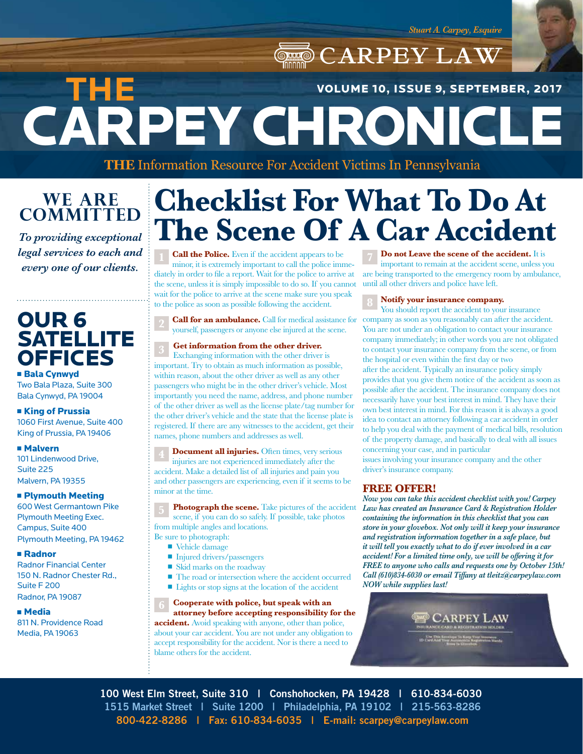*Stuart A. Carpey, Esquire*

CARPEY LAW CARPEY CHRONICLE **THE**  VOLUME 10, ISSUE 9, SEPTEMBER, 2017

**THE** Information Resource For Accident Victims In Pennsylvania

## **WE ARE COMMITTED**

*To providing exceptional legal services to each and every one of our clients.*

## OUR 6 **SATELLITE OFFICES**

**Bala Cynwyd** Two Bala Plaza, Suite 300 Bala Cynwyd, PA 19004

**Example 1 King of Prussia** 1060 First Avenue, Suite 400 King of Prussia, PA 19406

<sup>n</sup> Malvern 101 Lindenwood Drive, Suite 225 Malvern, PA 19355

#### **n Plymouth Meeting** 600 West Germantown Pike Plymouth Meeting Exec. Campus, Suite 400 Plymouth Meeting, PA 19462

<sup>n</sup> Radnor

Radnor Financial Center 150 N. Radnor Chester Rd., Suite F 200 Radnor, PA 19087

<sup>n</sup> Media

811 N. Providence Road Media, PA 19063

# **Checklist For What To Do At The Scene Of A Car Accident**

**Call the Police.** Even if the accident appears to be minor, it is extremely important to call the police immediately in order to file a report. Wait for the police to arrive at the scene, unless it is simply impossible to do so. If you cannot wait for the police to arrive at the scene make sure you speak to the police as soon as possible following the accident.

**Call for an ambulance.** Call for medical assistance for yourself, passengers or anyone else injured at the scene.

**Get information from the other driver.**

Exchanging information with the other driver is important. Try to obtain as much information as possible, within reason, about the other driver as well as any other passengers who might be in the other driver's vehicle. Most importantly you need the name, address, and phone number of the other driver as well as the license plate/tag number for the other driver's vehicle and the state that the license plate is registered. If there are any witnesses to the accident, get their names, phone numbers and addresses as well.

**Document all injuries.** Often times, very serious injuries are not experienced immediately after the accident. Make a detailed list of all injuries and pain you and other passengers are experiencing, even if it seems to be minor at the time.

**Photograph the scene.** Take pictures of the accident scene, if you can do so safely. If possible, take photos from multiple angles and locations.

- Be sure to photograph:
	- Vehicle damage
	- Injured drivers/passengers
	- $\blacksquare$  Skid marks on the roadway
	- $\blacksquare$  <br> The road or intersection where the accident occurred ■ Lights or stop signs at the location of the accident

**Cooperate with police, but speak with an attorney before accepting responsibility for the accident.** Avoid speaking with anyone, other than police, about your car accident. You are not under any obligation to accept responsibility for the accident. Nor is there a need to blame others for the accident.

**Do not Leave the scene of the accident.** It is important to remain at the accident scene, unless you are being transported to the emergency room by ambulance, until all other drivers and police have left.

**Notify your insurance company.**

You should report the accident to your insurance company as soon as you reasonably can after the accident. You are not under an obligation to contact your insurance company immediately; in other words you are not obligated to contact your insurance company from the scene, or from the hospital or even within the first day or two after the accident. Typically an insurance policy simply provides that you give them notice of the accident as soon as possible after the accident. The insurance company does not necessarily have your best interest in mind. They have their own best interest in mind. For this reason it is always a good idea to contact an attorney following a car accident in order to help you deal with the payment of medical bills, resolution of the property damage, and basically to deal with all issues concerning your case, and in particular

issues involving your insurance company and the other driver's insurance company.

## **FREE OFFER!**

*Now you can take this accident checklist with you! Carpey Law has created an Insurance Card & Registration Holder containing the information in this checklist that you can store in your glovebox. Not only will it keep your insurance and registration information together in a safe place, but it will tell you exactly what to do if ever involved in a car accident! For a limited time only, we will be offering it for FREE to anyone who calls and requests one by October 15th! Call (610)834-6030 or email Tiffany at tleitz@carpeylaw.com NOW while supplies last!*

**CARPEY LAW** 

**100 West Elm Street, Suite 310 | Conshohocken, PA 19428 | 610-834-6030 1515 Market Street | Suite 1200 | Philadelphia, PA 19102 | 215-563-8286 800-422-8286 | Fax: 610-834-6035 | E-mail: scarpey@carpeylaw.com**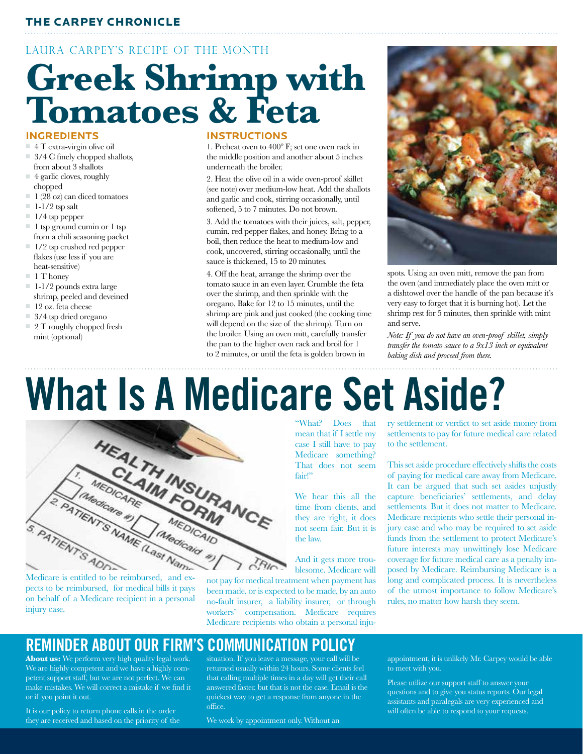## THE CARPEY CHRONICLE

## LAURA CARPEY'S RECIPE OF THE MONTH

# **Greek Shrimp with Tomatoes & Feta**

#### **INGREDIENTS**

- $\blacksquare$  4 T extra-virgin olive oil
- $\Box$  3/4 C finely chopped shallots, from about 3 shallots
- $\Box$  4 garlic cloves, roughly chopped
- $\blacksquare$  1 (28 oz) can diced tomatoes
- $\blacksquare$  1-1/2 tsp salt
- $\blacksquare$  1/4 tsp pepper
- $\blacksquare$  1 tsp ground cumin or 1 tsp from a chili seasoning packet
- $\blacksquare$  1/2 tsp crushed red pepper flakes (use less if you are heat-sensitive)
- $\blacksquare$  1 T honey
- $\blacksquare$  1-1/2 pounds extra large
- shrimp, peeled and deveined  $\blacksquare$  12 oz. feta cheese
- $\equiv$  3/4 tsp dried oregano
- $\Box$  2 T roughly chopped fresh mint (optional)

#### **INSTRUCTIONS**

1. Preheat oven to 400º F; set one oven rack in the middle position and another about 5 inches underneath the broiler.

2. Heat the olive oil in a wide oven-proof skillet (see note) over medium-low heat. Add the shallots and garlic and cook, stirring occasionally, until softened, 5 to 7 minutes. Do not brown.

3. Add the tomatoes with their juices, salt, pepper, cumin, red pepper flakes, and honey. Bring to a boil, then reduce the heat to medium-low and cook, uncovered, stirring occasionally, until the sauce is thickened, 15 to 20 minutes.

4. Off the heat, arrange the shrimp over the tomato sauce in an even layer. Crumble the feta over the shrimp, and then sprinkle with the oregano. Bake for 12 to 15 minutes, until the shrimp are pink and just cooked (the cooking time will depend on the size of the shrimp). Turn on the broiler. Using an oven mitt, carefully transfer the pan to the higher oven rack and broil for 1 to 2 minutes, or until the feta is golden brown in



spots. Using an oven mitt, remove the pan from the oven (and immediately place the oven mitt or a dishtowel over the handle of the pan because it's very easy to forget that it is burning hot). Let the shrimp rest for 5 minutes, then sprinkle with mint and serve.

*Note: If you do not have an oven-proof skillet, simply transfer the tomato sauce to a 9x13 inch or equivalent baking dish and proceed from there.*

# **What Is A Medicare Set Aside?**



pects to be reimbursed, for medical bills it pays on behalf of a Medicare recipient in a personal injury case.

"What? Does that mean that if I settle my case I still have to pay Medicare something? That does not seem fair!"

We hear this all the time from clients, and they are right, it does not seem fair. But it is the law.

And it gets more troublesome. Medicare will

not pay for medical treatment when payment has been made, or is expected to be made, by an auto no-fault insurer, a liability insurer, or through workers' compensation. Medicare requires Medicare recipients who obtain a personal inju-

## **REMINDER ABOUT OUR FIRM'S COMMUNICATION POLICY**

**About us:** We perform very high quality legal work. We are highly competent and we have a highly competent support staff, but we are not perfect. We can make mistakes. We will correct a mistake if we find it or if you point it out.

It is our policy to return phone calls in the order they are received and based on the priority of the situation. If you leave a message, your call will be returned usually within 24 hours. Some clients feel that calling multiple times in a day will get their call answered faster, but that is not the case. Email is the quickest way to get a response from anyone in the office.

We work by appointment only. Without an

ry settlement or verdict to set aside money from settlements to pay for future medical care related to the settlement.

This set aside procedure effectively shifts the costs of paying for medical care away from Medicare. It can be argued that such set asides unjustly capture beneficiaries' settlements, and delay settlements. But it does not matter to Medicare. Medicare recipients who settle their personal injury case and who may be required to set aside funds from the settlement to protect Medicare's future interests may unwittingly lose Medicare coverage for future medical care as a penalty imposed by Medicare. Reimbursing Medicare is a long and complicated process. It is nevertheless of the utmost importance to follow Medicare's rules, no matter how harsh they seem.

appointment, it is unlikely Mr. Carpey would be able to meet with you.

Please utilize our support staff to answer your questions and to give you status reports. Our legal assistants and paralegals are very experienced and will often be able to respond to your requests.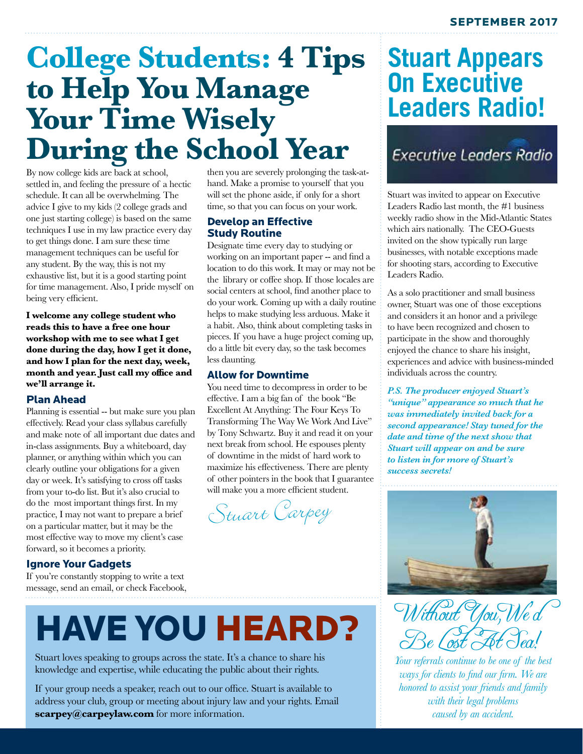## **College Students: 4 Tips to Help You Manage Your Time Wisely During the School Year**

By now college kids are back at school, settled in, and feeling the pressure of a hectic schedule. It can all be overwhelming. The advice I give to my kids (2 college grads and one just starting college) is based on the same techniques I use in my law practice every day to get things done. I am sure these time management techniques can be useful for any student. By the way, this is not my exhaustive list, but it is a good starting point for time management. Also, I pride myself on being very efficient.

**I welcome any college student who reads this to have a free one hour workshop with me to see what I get done during the day, how I get it done, and how I plan for the next day, week, month and year. Just call my office and we'll arrange it.**

#### Plan Ahead

Planning is essential -- but make sure you plan effectively. Read your class syllabus carefully and make note of all important due dates and in-class assignments. Buy a whiteboard, day planner, or anything within which you can clearly outline your obligations for a given day or week. It's satisfying to cross off tasks from your to-do list. But it's also crucial to do the most important things first. In my practice, I may not want to prepare a brief on a particular matter, but it may be the most effective way to move my client's case forward, so it becomes a priority.

## Ignore Your Gadgets

If you're constantly stopping to write a text message, send an email, or check Facebook,

then you are severely prolonging the task-athand. Make a promise to yourself that you will set the phone aside, if only for a short time, so that you can focus on your work.

### Develop an Effective Study Routine

Designate time every day to studying or working on an important paper -- and find a location to do this work. It may or may not be the library or coffee shop. If those locales are social centers at school, find another place to do your work. Coming up with a daily routine helps to make studying less arduous. Make it a habit. Also, think about completing tasks in pieces. If you have a huge project coming up, do a little bit every day, so the task becomes less daunting.

### Allow for Downtime

You need time to decompress in order to be effective. I am a big fan of the book "Be Excellent At Anything: The Four Keys To Transforming The Way We Work And Live" by Tony Schwartz. Buy it and read it on your next break from school. He espouses plenty of downtime in the midst of hard work to maximize his effectiveness. There are plenty of other pointers in the book that I guarantee will make you a more efficient student.

Stuart Carpey

## **Stuart Appears On Executive Leaders Radio!**

**Executive Leaders Radio** 

Stuart was invited to appear on Executive Leaders Radio last month, the #1 business weekly radio show in the Mid-Atlantic States which airs nationally. The CEO-Guests invited on the show typically run large businesses, with notable exceptions made for shooting stars, according to Executive Leaders Radio.

As a solo practitioner and small business owner, Stuart was one of those exceptions and considers it an honor and a privilege to have been recognized and chosen to participate in the show and thoroughly enjoyed the chance to share his insight, experiences and advice with business-minded individuals across the country.

*P.S. The producer enjoyed Stuart's "unique" appearance so much that he was immediately invited back for a second appearance! Stay tuned for the date and time of the next show that Stuart will appear on and be sure to listen in for more of Stuart's success secrets!*



Without You, We a Be Lost At Sea!

*Your referrals continue to be one of the best ways for clients to find our firm. We are honored to assist your friends and family with their legal problems caused by an accident.*

# HAVE YOU HEARD?

Stuart loves speaking to groups across the state. It's a chance to share his knowledge and expertise, while educating the public about their rights.

If your group needs a speaker, reach out to our office. Stuart is available to address your club, group or meeting about injury law and your rights. Email **scarpey@carpeylaw.com** for more information.